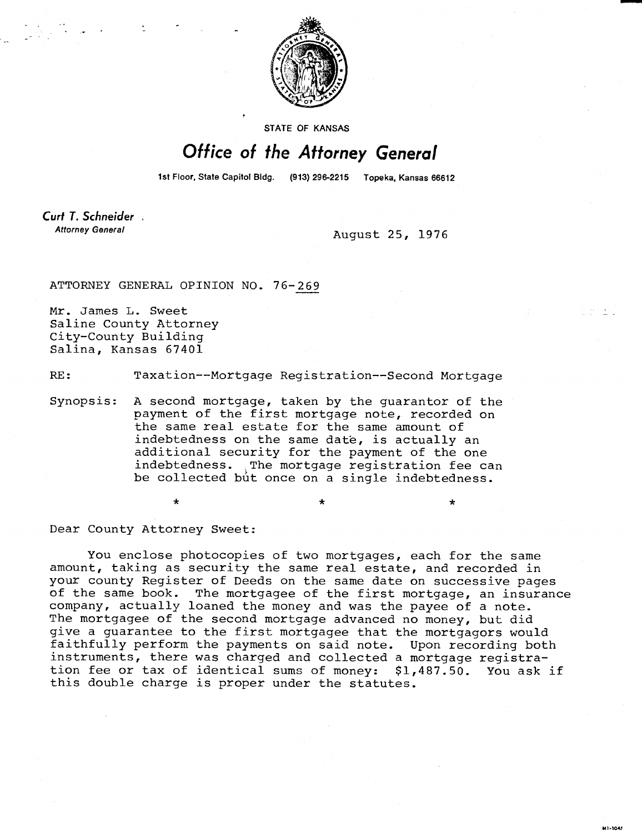

STATE OF KANSAS

## Office of the Attorney General

1st Floor, State Capitol Bidg. (913) 296-2215 Topeka, Kansas 66612

Curt T. Schneider. **Attorney General** 

August 25, 1976

H1-1043

ATTORNEY GENERAL OPINION NO. 76-269

Mr. James L. Sweet Saline County Attorney City-County Building Salina, Kansas 67401

RE: Taxation--Mortgage Registration--Second Mortgage

Synopsis: A second mortgage, taken by the guarantor of the payment of the first mortgage note, recorded on the same real estate for the same amount of indebtedness on the same date, is actually an additional security for the payment of the one indebtedness. The mortgage registration fee can be collected but once on a single indebtedness.

Dear County Attorney Sweet:

 $\star$ 

You enclose photocopies of two mortgages, each for the same amount, taking as security the same real estate, and recorded in your county Register of Deeds on the same date on successive pages of the same book. The mortgagee of the first mortgage, an insurance company, actually loaned the money and was the payee of a note. The mortgagee of the second mortgage advanced no money, but did give a guarantee to the first mortgagee that the mortgagors would faithfully perform the payments on said note. Upon recording both instruments, there was charged and collected a mortgage registration fee or tax of identical sums of money: \$1,487.50. You ask if this double charge is proper under the statutes.